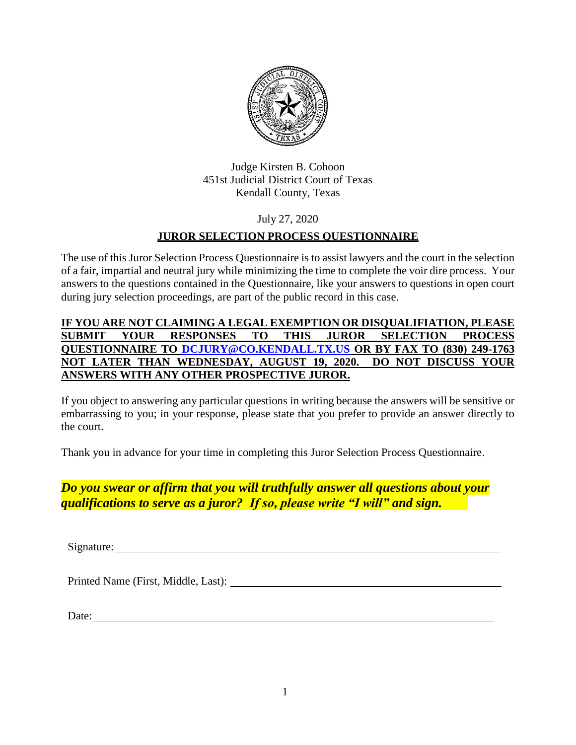

Judge Kirsten B. Cohoon 451st Judicial District Court of Texas Kendall County, Texas

## July 27, 2020

## **JUROR SELECTION PROCESS QUESTIONNAIRE**

The use of this Juror Selection Process Questionnaire is to assist lawyers and the court in the selection of a fair, impartial and neutral jury while minimizing the time to complete the voir dire process. Your answers to the questions contained in the Questionnaire, like your answers to questions in open court during jury selection proceedings, are part of the public record in this case.

### **IF YOU ARE NOT CLAIMING A LEGAL EXEMPTION OR DISQUALIFIATION, PLEASE SUBMIT YOUR RESPONSES TO THIS JUROR SELECTION PROCESS QUESTIONNAIRE TO [DCJURY@CO.KENDALL.TX.US](mailto:DCJURY@CO.KENDALL.TX.US) OR BY FAX TO (830) 249-1763 NOT LATER THAN WEDNESDAY, AUGUST 19, 2020. DO NOT DISCUSS YOUR ANSWERS WITH ANY OTHER PROSPECTIVE JUROR.**

If you object to answering any particular questions in writing because the answers will be sensitive or embarrassing to you; in your response, please state that you prefer to provide an answer directly to the court.

Thank you in advance for your time in completing this Juror Selection Process Questionnaire.

## *Do you swear or affirm that you will truthfully answer all questions about your qualifications to serve as a juror? If so, please write "I will" and sign.*

Signature:

Printed Name (First, Middle, Last):

Date: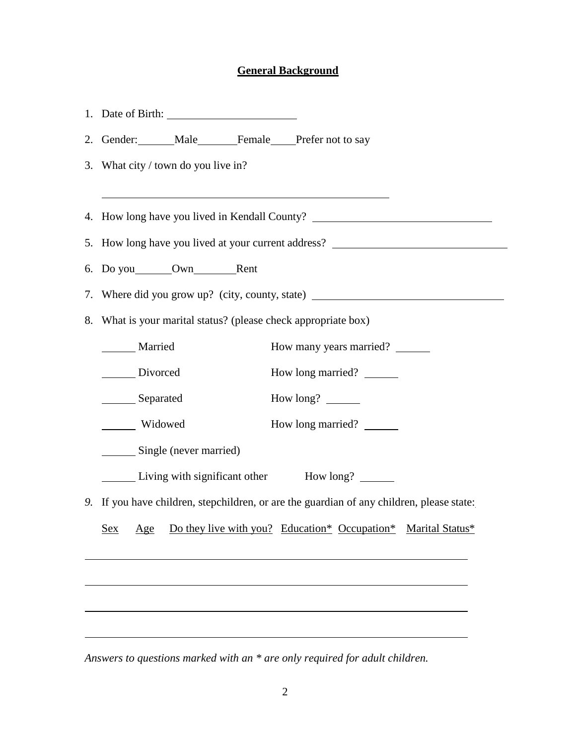# **General Background**

|  | 2. Gender: Male Female Prefer not to say                                                           |  |  |
|--|----------------------------------------------------------------------------------------------------|--|--|
|  | 3. What city / town do you live in?<br><u> 1989 - Johann Stoff, Amerikaansk politiker († 1908)</u> |  |  |
|  | 4. How long have you lived in Kendall County?                                                      |  |  |
|  | 5. How long have you lived at your current address? ____________________________                   |  |  |
|  |                                                                                                    |  |  |
|  | 7. Where did you grow up? (city, county, state) ________________________________                   |  |  |
|  | 8. What is your marital status? (please check appropriate box)                                     |  |  |
|  | How many years married? ______<br>Married                                                          |  |  |
|  | How long married? _______<br>Divorced                                                              |  |  |
|  | Separated<br>How long?                                                                             |  |  |
|  | Widowed<br>How long married? _______                                                               |  |  |
|  | Single (never married)                                                                             |  |  |
|  | Living with significant other How long? ______                                                     |  |  |
|  | 9. If you have children, stepchildren, or are the guardian of any children, please state:          |  |  |
|  | Age Do they live with you? Education* Occupation* Marital Status*<br><u>Sex</u>                    |  |  |
|  |                                                                                                    |  |  |
|  |                                                                                                    |  |  |
|  |                                                                                                    |  |  |
|  |                                                                                                    |  |  |

*Answers to questions marked with an \* are only required for adult children.*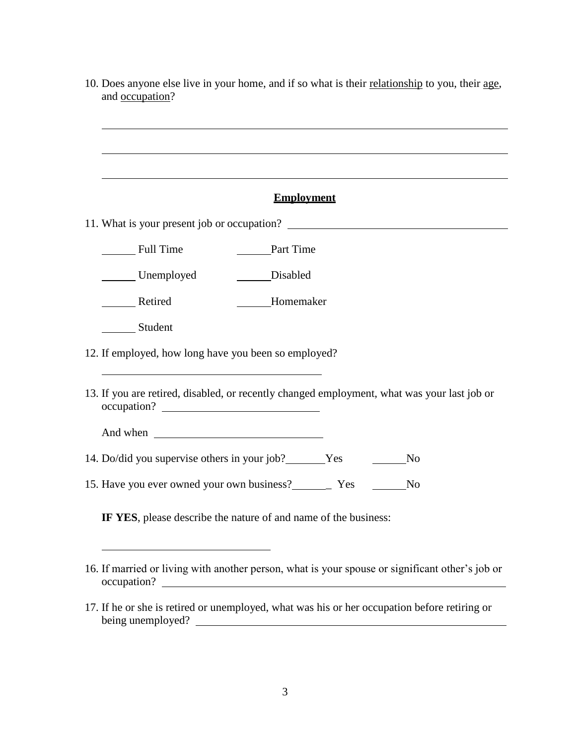10. Does anyone else live in your home, and if so what is their relationship to you, their age, and occupation?

| Employment |
|------------|
|------------|

- 11. What is your present job or occupation?
	- Full Time Part Time
	- Unemployed Disabled
	- \_\_\_\_\_\_\_\_\_ Retired \_\_\_\_\_\_\_\_\_\_\_\_\_\_\_\_\_\_Homemaker
	- Student
- 12. If employed, how long have you been so employed?
- 13. If you are retired, disabled, or recently changed employment, what was your last job or occupation?
	- And when  $\blacksquare$
- 14. Do/did you supervise others in your job? Yes No
- 15. Have you ever owned your own business? The Yes No

**IF YES**, please describe the nature of and name of the business:

- 16. If married or living with another person, what is your spouse or significant other's job or occupation?
- 17. If he or she is retired or unemployed, what was his or her occupation before retiring or being unemployed?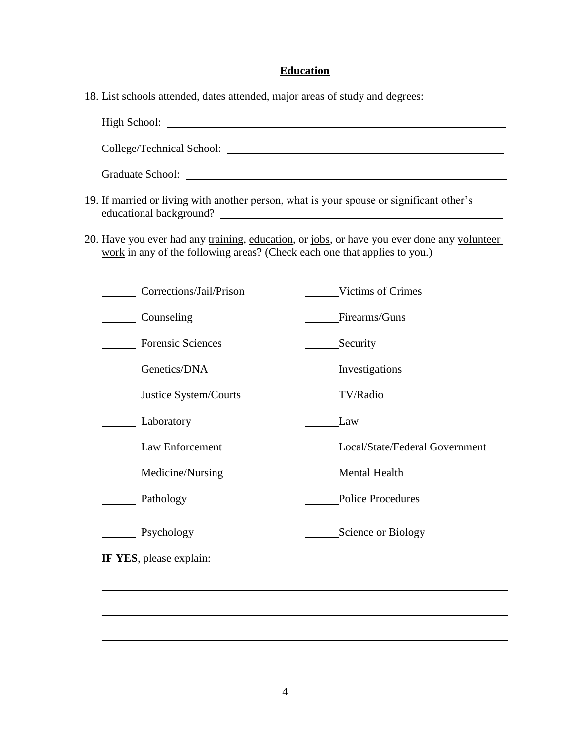#### **Education**

18. List schools attended, dates attended, major areas of study and degrees:

High School: College/Technical School: Graduate School:

- 19. If married or living with another person, what is your spouse or significant other's educational background?
- 20. Have you ever had any training, education, or jobs, or have you ever done any volunteer work in any of the following areas? (Check each one that applies to you.)

| Corrections/Jail/Prison  | Victims of Crimes              |
|--------------------------|--------------------------------|
| Counseling               | Firearms/Guns                  |
| <b>Forensic Sciences</b> | Security                       |
| Genetics/DNA             | Investigations                 |
| Justice System/Courts    | TV/Radio                       |
| Laboratory               | Law                            |
| Law Enforcement          | Local/State/Federal Government |
| Medicine/Nursing         | Mental Health                  |
| Pathology                | <b>Police Procedures</b>       |
| Psychology               | Science or Biology             |
| IF YES, please explain:  |                                |
|                          |                                |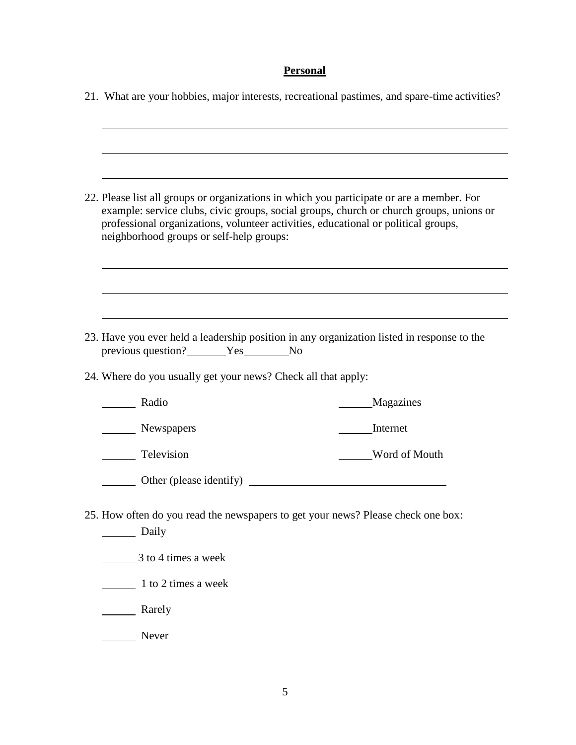# **Personal**

|                                                                                                                                                                                                                                                                                                                        | 21. What are your hobbies, major interests, recreational pastimes, and spare-time activities? |  |
|------------------------------------------------------------------------------------------------------------------------------------------------------------------------------------------------------------------------------------------------------------------------------------------------------------------------|-----------------------------------------------------------------------------------------------|--|
|                                                                                                                                                                                                                                                                                                                        |                                                                                               |  |
| 22. Please list all groups or organizations in which you participate or are a member. For<br>example: service clubs, civic groups, social groups, church or church groups, unions or<br>professional organizations, volunteer activities, educational or political groups,<br>neighborhood groups or self-help groups: |                                                                                               |  |
|                                                                                                                                                                                                                                                                                                                        | 23. Have you ever held a leadership position in any organization listed in response to the    |  |
| previous question?<br>Yes No                                                                                                                                                                                                                                                                                           |                                                                                               |  |
| 24. Where do you usually get your news? Check all that apply:                                                                                                                                                                                                                                                          |                                                                                               |  |
| Radio                                                                                                                                                                                                                                                                                                                  | Magazines                                                                                     |  |
| Newspapers                                                                                                                                                                                                                                                                                                             | Internet                                                                                      |  |
| ____ Television                                                                                                                                                                                                                                                                                                        | Word of Mouth                                                                                 |  |
| Other (please identify)                                                                                                                                                                                                                                                                                                |                                                                                               |  |
| 25. How often do you read the newspapers to get your news? Please check one box:<br>Daily                                                                                                                                                                                                                              |                                                                                               |  |
| 3 to 4 times a week                                                                                                                                                                                                                                                                                                    |                                                                                               |  |
| $\frac{1}{2}$ 1 to 2 times a week                                                                                                                                                                                                                                                                                      |                                                                                               |  |
| <b>Example 1</b> Rarely                                                                                                                                                                                                                                                                                                |                                                                                               |  |

Never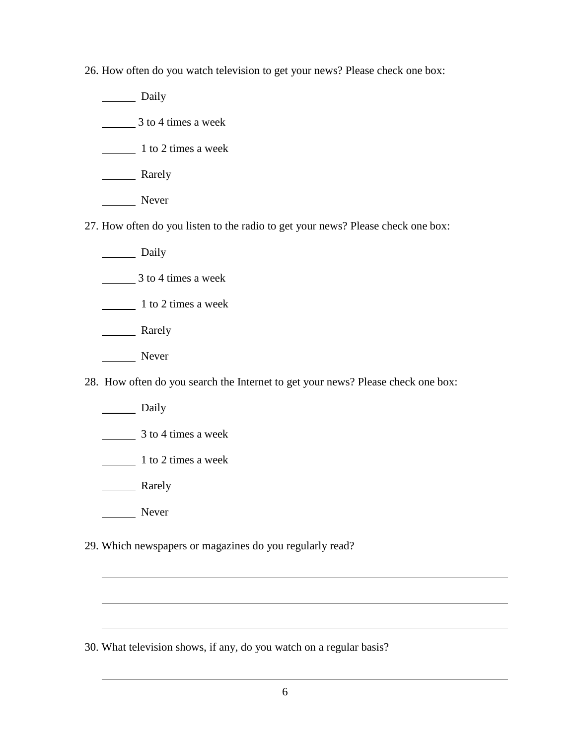26. How often do you watch television to get your news? Please check one box:

Daily

3 to 4 times a week

1 to 2 times a week

**Rarely** 

Never

27. How often do you listen to the radio to get your news? Please check one box:

Daily

3 to 4 times a week

1 to 2 times a week

**Rarely** 

Never

28. How often do you search the Internet to get your news? Please check one box:

Daily

3 to 4 times a week

1 to 2 times a week

**Rarely** 

Never

29. Which newspapers or magazines do you regularly read?

30. What television shows, if any, do you watch on a regular basis?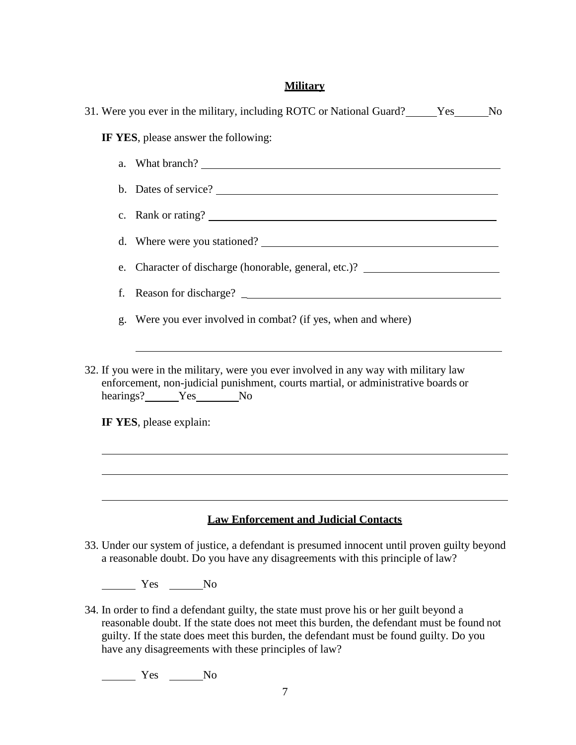#### **Military**

| 31. Were you ever in the military, including ROTC or National Guard? [Stester Mo                                                                                                                                         |  |  |  |  |
|--------------------------------------------------------------------------------------------------------------------------------------------------------------------------------------------------------------------------|--|--|--|--|
| IF YES, please answer the following:                                                                                                                                                                                     |  |  |  |  |
| What branch?<br>a.                                                                                                                                                                                                       |  |  |  |  |
| b. Dates of service?                                                                                                                                                                                                     |  |  |  |  |
| c. Rank or rating?                                                                                                                                                                                                       |  |  |  |  |
| d. Where were you stationed?                                                                                                                                                                                             |  |  |  |  |
| e. Character of discharge (honorable, general, etc.)? __________________________                                                                                                                                         |  |  |  |  |
| f.                                                                                                                                                                                                                       |  |  |  |  |
| g. Were you ever involved in combat? (if yes, when and where)                                                                                                                                                            |  |  |  |  |
| 32. If you were in the military, were you ever involved in any way with military law<br>enforcement, non-judicial punishment, courts martial, or administrative boards or<br>hearings? Yes No<br>IF YES, please explain: |  |  |  |  |
| ,我们也不能在这里,我们也不能在这里的时候,我们也不能不能不能不能不能不能不能不能不能不能不能不能不能。<br>第2012章 我们的时候,我们的时候,我们的时候,我们的时候,我们的时候,我们的时候,我们的时候,我们的时候,我们的时候,我们的时候,我们的时候,我们的时候,我<br><b>Law Enforcement and Judicial Contacts</b>                                 |  |  |  |  |

33. Under our system of justice, a defendant is presumed innocent until proven guilty beyond a reasonable doubt. Do you have any disagreements with this principle of law?

No Nes No

34. In order to find a defendant guilty, the state must prove his or her guilt beyond a reasonable doubt. If the state does not meet this burden, the defendant must be found not guilty. If the state does meet this burden, the defendant must be found guilty. Do you have any disagreements with these principles of law?

No Nes No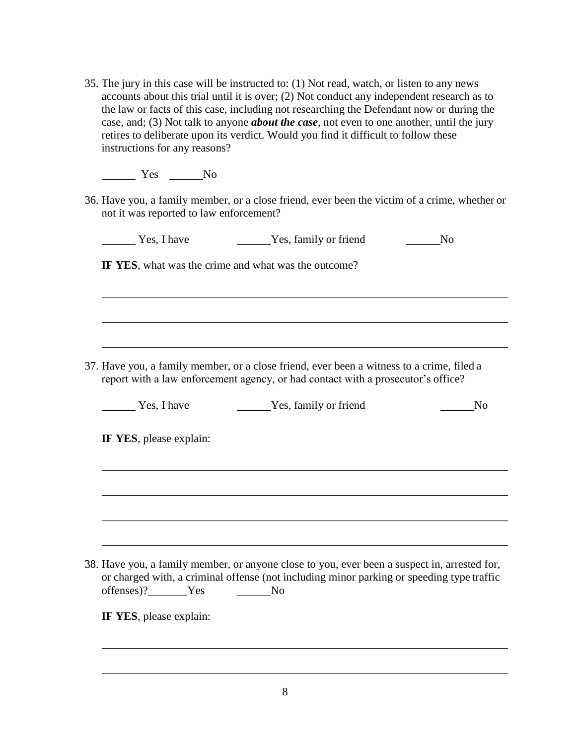35. The jury in this case will be instructed to: (1) Not read, watch, or listen to any news accounts about this trial until it is over; (2) Not conduct any independent research as to the law or facts of this case, including not researching the Defendant now or during the case, and; (3) Not talk to anyone *about the case*, not even to one another, until the jury retires to deliberate upon its verdict. Would you find it difficult to follow these instructions for any reasons?

No Nes No

36. Have you, a family member, or a close friend, ever been the victim of a crime, whether or not it was reported to law enforcement?

| Yes, I have | Yes, family or friend |  |
|-------------|-----------------------|--|
|-------------|-----------------------|--|

**IF YES**, what was the crime and what was the outcome?

37. Have you, a family member, or a close friend, ever been a witness to a crime, filed a report with a law enforcement agency, or had contact with a prosecutor's office?

| Yes, I have | Yes, family or friend | No |
|-------------|-----------------------|----|
|-------------|-----------------------|----|

**IF YES**, please explain:

38. Have you, a family member, or anyone close to you, ever been a suspect in, arrested for, or charged with, a criminal offense (not including minor parking or speeding type traffic offenses)? Yes No

**IF YES**, please explain: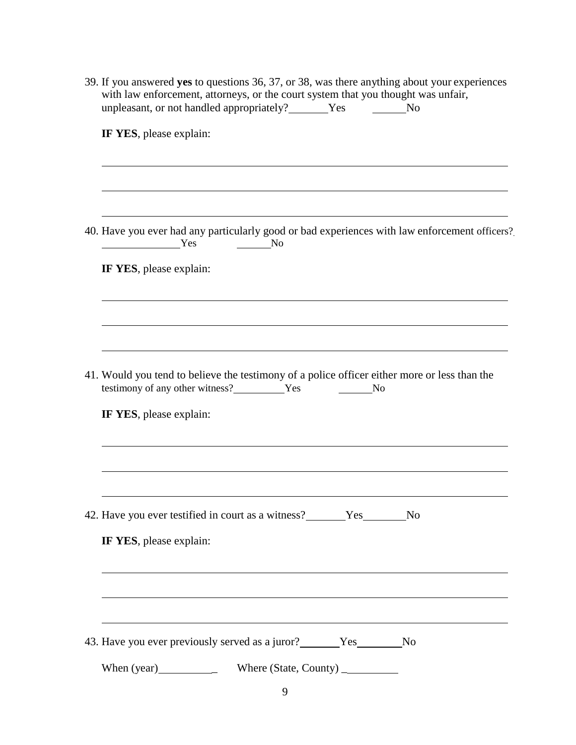| 39. If you answered yes to questions 36, 37, or 38, was there anything about your experiences<br>with law enforcement, attorneys, or the court system that you thought was unfair,<br>unpleasant, or not handled appropriately? ______Yes _________No                                                                                                                                                                                                                                                                                           |  |  |
|-------------------------------------------------------------------------------------------------------------------------------------------------------------------------------------------------------------------------------------------------------------------------------------------------------------------------------------------------------------------------------------------------------------------------------------------------------------------------------------------------------------------------------------------------|--|--|
| IF YES, please explain:                                                                                                                                                                                                                                                                                                                                                                                                                                                                                                                         |  |  |
|                                                                                                                                                                                                                                                                                                                                                                                                                                                                                                                                                 |  |  |
| 40. Have you ever had any particularly good or bad experiences with law enforcement officers?<br>$\frac{1}{\sqrt{1-\frac{1}{\sqrt{1-\frac{1}{\sqrt{1-\frac{1}{\sqrt{1-\frac{1}{\sqrt{1-\frac{1}{\sqrt{1-\frac{1}{\sqrt{1-\frac{1}{\sqrt{1-\frac{1}{\sqrt{1-\frac{1}{\sqrt{1-\frac{1}{\sqrt{1-\frac{1}{\sqrt{1-\frac{1}{\sqrt{1-\frac{1}{\sqrt{1-\frac{1}{\sqrt{1-\frac{1}{\sqrt{1-\frac{1}{\sqrt{1-\frac{1}{\sqrt{1-\frac{1}{\sqrt{1-\frac{1}{\sqrt{1-\frac{1}{\sqrt{1-\frac{1}{\sqrt{1-\frac{1}{\sqrt{1-\frac{1}{\sqrt{1-\frac{1$<br>$\sim$ No |  |  |
| IF YES, please explain:                                                                                                                                                                                                                                                                                                                                                                                                                                                                                                                         |  |  |
|                                                                                                                                                                                                                                                                                                                                                                                                                                                                                                                                                 |  |  |
| 41. Would you tend to believe the testimony of a police officer either more or less than the<br>testimony of any other witness?<br>Yes No<br>IF YES, please explain:                                                                                                                                                                                                                                                                                                                                                                            |  |  |
|                                                                                                                                                                                                                                                                                                                                                                                                                                                                                                                                                 |  |  |
| 42. Have you ever testified in court as a witness? _______Yes________No<br>IF YES, please explain:                                                                                                                                                                                                                                                                                                                                                                                                                                              |  |  |
|                                                                                                                                                                                                                                                                                                                                                                                                                                                                                                                                                 |  |  |
| 43. Have you ever previously served as a juror? _______ Yes _______ No                                                                                                                                                                                                                                                                                                                                                                                                                                                                          |  |  |
| When (year) Where (State, County)                                                                                                                                                                                                                                                                                                                                                                                                                                                                                                               |  |  |
| 9                                                                                                                                                                                                                                                                                                                                                                                                                                                                                                                                               |  |  |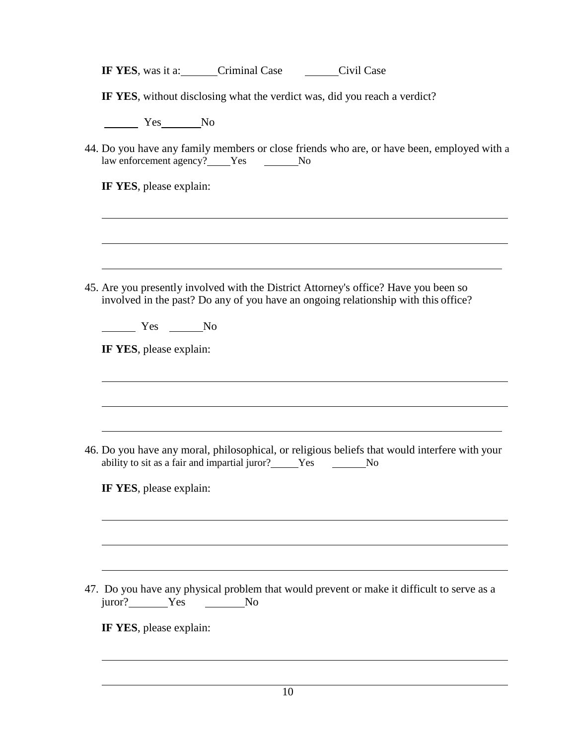| IF YES, was it a: | Criminal Case | Civil Case |
|-------------------|---------------|------------|
|-------------------|---------------|------------|

**IF YES**, without disclosing what the verdict was, did you reach a verdict?

No No No

44. Do you have any family members or close friends who are, or have been, employed with a law enforcement agency? Yes No

**IF YES**, please explain:

45. Are you presently involved with the District Attorney's office? Have you been so involved in the past? Do any of you have an ongoing relationship with this office?

Yes No

**IF YES**, please explain:

46. Do you have any moral, philosophical, or religious beliefs that would interfere with your ability to sit as a fair and impartial juror? Yes No

**IF YES**, please explain:

47. Do you have any physical problem that would prevent or make it difficult to serve as a juror? Yes No

**IF YES**, please explain: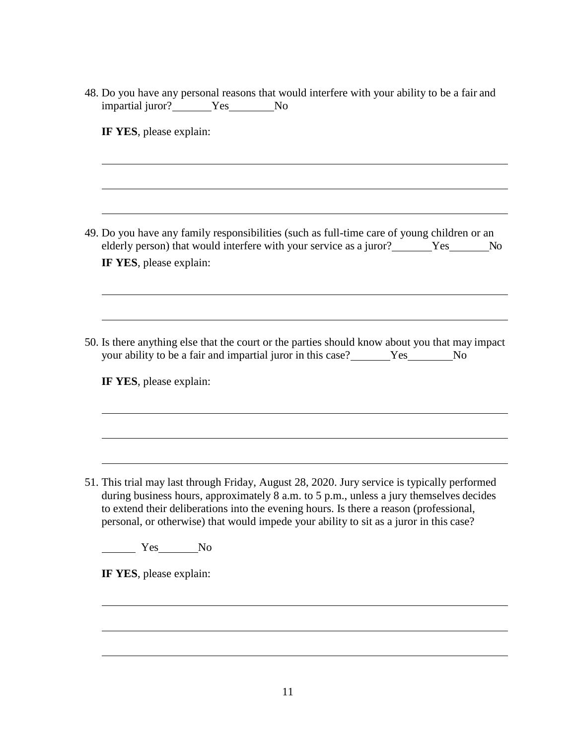48. Do you have any personal reasons that would interfere with your ability to be a fair and impartial juror? Yes No

**IF YES**, please explain:

49. Do you have any family responsibilities (such as full-time care of young children or an elderly person) that would interfere with your service as a juror? Yes No **IF YES**, please explain:

50. Is there anything else that the court or the parties should know about you that may impact your ability to be a fair and impartial juror in this case? Yes No

**IF YES**, please explain:

51. This trial may last through Friday, August 28, 2020. Jury service is typically performed during business hours, approximately 8 a.m. to 5 p.m., unless a jury themselves decides to extend their deliberations into the evening hours. Is there a reason (professional, personal, or otherwise) that would impede your ability to sit as a juror in this case?

Yes No

**IF YES**, please explain: